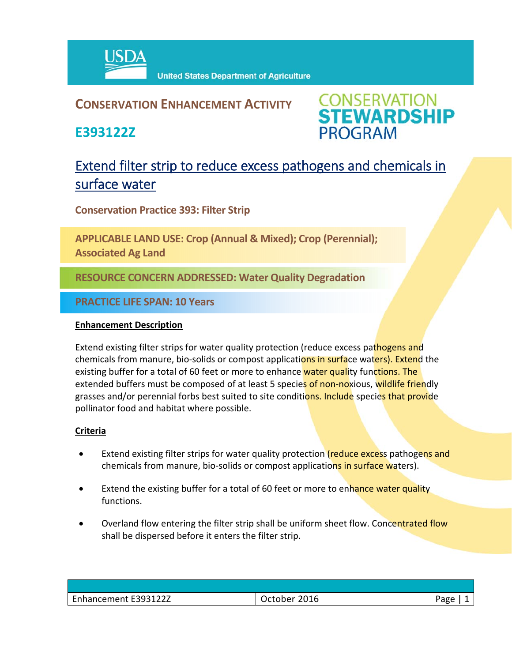

## **CONSERVATION ENHANCEMENT ACTIVITY**

**E393122Z**



# Extend filter strip to reduce excess pathogens and chemicals in surface water

**Conservation Practice 393: Filter Strip**

**APPLICABLE LAND USE: Crop (Annual & Mixed); Crop (Perennial); Associated Ag Land**

**RESOURCE CONCERN ADDRESSED: Water Quality Degradation**

**PRACTICE LIFE SPAN: 10 Years**

#### **Enhancement Description**

Extend existing filter strips for water quality protection (reduce excess pathogens and chemicals from manure, bio-solids or compost applications in surface waters). Extend the existing buffer for a total of 60 feet or more to enhance water quality functions. The extended buffers must be composed of at least 5 species of non-noxious, wildlife friendly grasses and/or perennial forbs best suited to site conditions. Include species that provide pollinator food and habitat where possible.

### **Criteria**

- Extend existing filter strips for water quality protection (reduce excess pathogens and chemicals from manure, bio-solids or compost applications in surface waters).
- Extend the existing buffer for a total of 60 feet or more to enhance water quality functions.
- Overland flow entering the filter strip shall be uniform sheet flow. Concentrated flow shall be dispersed before it enters the filter strip.

| Enhancement E393122Z | 2016<br>Jctober <sup>-</sup> | Page |
|----------------------|------------------------------|------|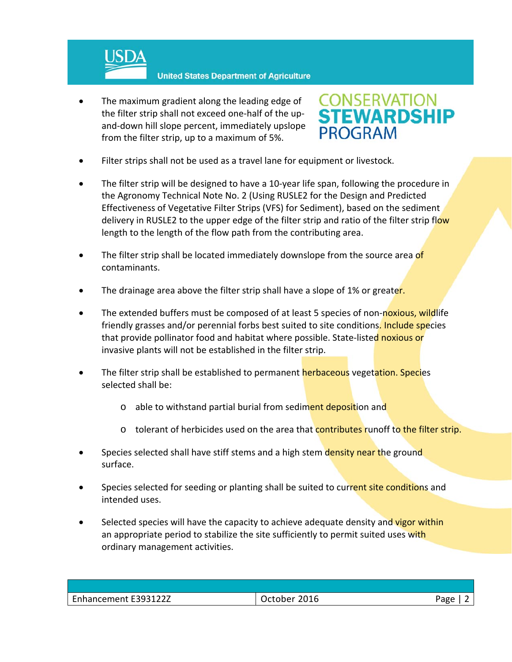

 The maximum gradient along the leading edge of the filter strip shall not exceed one‐half of the up‐ and‐down hill slope percent, immediately upslope from the filter strip, up to a maximum of 5%.



- Filter strips shall not be used as a travel lane for equipment or livestock.
- The filter strip will be designed to have a 10‐year life span, following the procedure in the Agronomy Technical Note No. 2 (Using RUSLE2 for the Design and Predicted Effectiveness of Vegetative Filter Strips (VFS) for Sediment), based on the sediment delivery in RUSLE2 to the upper edge of the filter strip and ratio of the filter strip flow length to the length of the flow path from the contributing area.
- The filter strip shall be located immediately downslope from the source area of contaminants.
- The drainage area above the filter strip shall have a slope of 1% or greater.
- The extended buffers must be composed of at least 5 species of non-noxious, wildlife friendly grasses and/or perennial forbs best suited to site conditions. Include species that provide pollinator food and habitat where possible. State-listed noxious or invasive plants will not be established in the filter strip.
- The filter strip shall be established to permanent herbaceous vegetation. Species selected shall be:
	- o able to withstand partial burial from sediment deposition and
	- $\circ$  tolerant of herbicides used on the area that contributes runoff to the filter strip.
- Species selected shall have stiff stems and a high stem density near the ground surface.
- Species selected for seeding or planting shall be suited to current site conditions and intended uses.
- Selected species will have the capacity to achieve adequate density and vigor within an appropriate period to stabilize the site sufficiently to permit suited uses with ordinary management activities.

| Enhancement E393122Z | 2016<br>ctober | חסבי |
|----------------------|----------------|------|